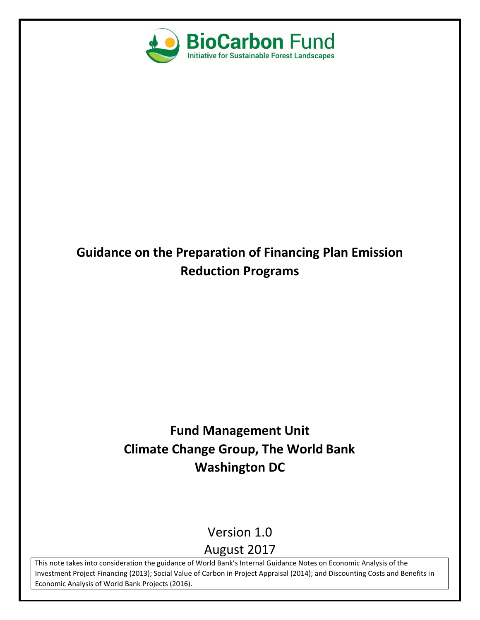

# **Guidance on the Preparation of Financing Plan Emission Reduction Programs**

# **Fund Management Unit Climate Change Group, The World Bank Washington DC**

Version 1.0

# August 2017

This note takes into consideration the guidance of World Bank's Internal Guidance Notes on Economic Analysis of the Investment Project Financing (2013); Social Value of Carbon in Project Appraisal (2014); and Discounting Costs and Benefits in Economic Analysis of World Bank Projects (2016).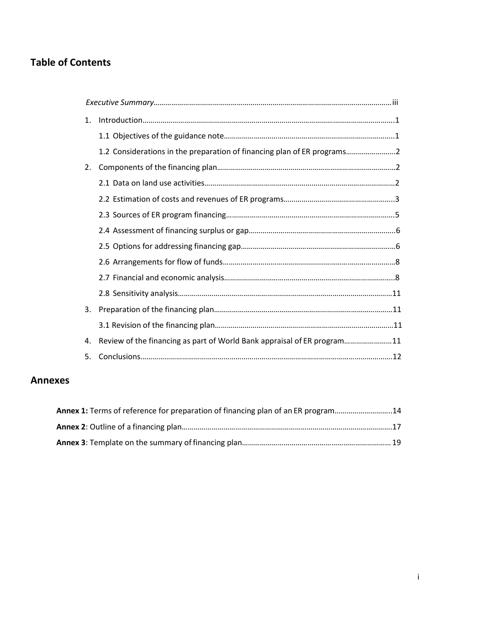# **Table of Contents**

| 1. |                                                                         |  |
|----|-------------------------------------------------------------------------|--|
|    |                                                                         |  |
|    | 1.2 Considerations in the preparation of financing plan of ER programs  |  |
| 2. |                                                                         |  |
|    |                                                                         |  |
|    |                                                                         |  |
|    |                                                                         |  |
|    |                                                                         |  |
|    |                                                                         |  |
|    |                                                                         |  |
|    |                                                                         |  |
|    |                                                                         |  |
| 3. |                                                                         |  |
|    |                                                                         |  |
| 4. | Review of the financing as part of World Bank appraisal of ER program11 |  |
| 5. |                                                                         |  |

# **Annexes**

| Annex 1: Terms of reference for preparation of financing plan of an ER program14 |  |
|----------------------------------------------------------------------------------|--|
|                                                                                  |  |
|                                                                                  |  |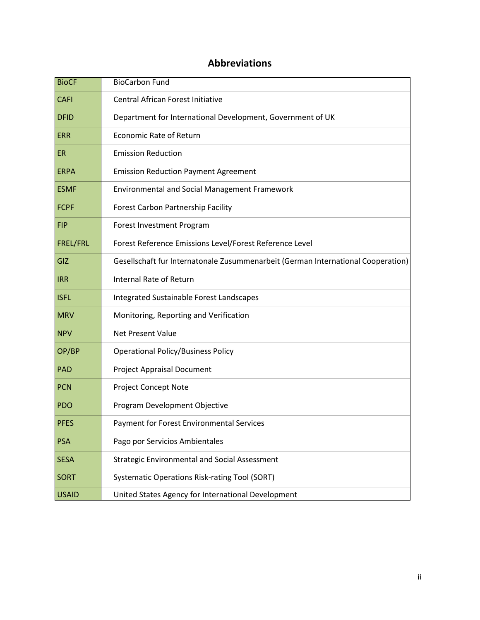# **Abbreviations**

| <b>BioCF</b>    | <b>BioCarbon Fund</b>                                                            |
|-----------------|----------------------------------------------------------------------------------|
| <b>CAFI</b>     | <b>Central African Forest Initiative</b>                                         |
| <b>DFID</b>     | Department for International Development, Government of UK                       |
| <b>ERR</b>      | <b>Economic Rate of Return</b>                                                   |
| <b>ER</b>       | <b>Emission Reduction</b>                                                        |
| <b>ERPA</b>     | <b>Emission Reduction Payment Agreement</b>                                      |
| <b>ESMF</b>     | <b>Environmental and Social Management Framework</b>                             |
| <b>FCPF</b>     | Forest Carbon Partnership Facility                                               |
| <b>FIP</b>      | Forest Investment Program                                                        |
| <b>FREL/FRL</b> | Forest Reference Emissions Level/Forest Reference Level                          |
| GIZ             | Gesellschaft fur Internatonale Zusummenarbeit (German International Cooperation) |
| <b>IRR</b>      | <b>Internal Rate of Return</b>                                                   |
| <b>ISFL</b>     | Integrated Sustainable Forest Landscapes                                         |
| <b>MRV</b>      | Monitoring, Reporting and Verification                                           |
| <b>NPV</b>      | <b>Net Present Value</b>                                                         |
| OP/BP           | <b>Operational Policy/Business Policy</b>                                        |
| PAD             | <b>Project Appraisal Document</b>                                                |
| PCN             | <b>Project Concept Note</b>                                                      |
| PDO             | Program Development Objective                                                    |
| <b>PFES</b>     | <b>Payment for Forest Environmental Services</b>                                 |
| PSA             | Pago por Servicios Ambientales                                                   |
| <b>SESA</b>     | <b>Strategic Environmental and Social Assessment</b>                             |
| <b>SORT</b>     | Systematic Operations Risk-rating Tool (SORT)                                    |
| <b>USAID</b>    | United States Agency for International Development                               |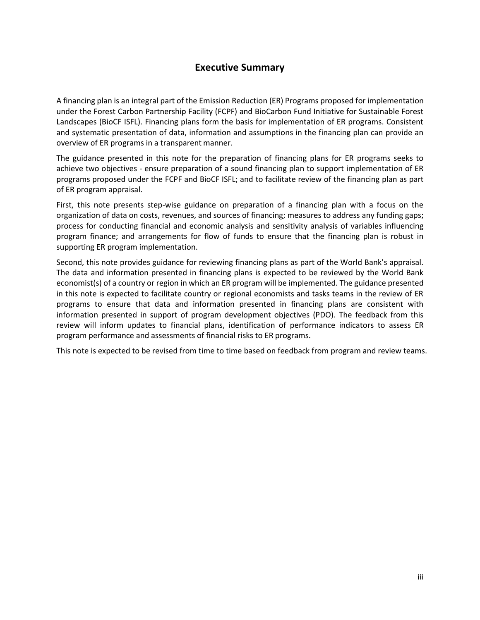## **Executive Summary**

<span id="page-3-0"></span>A financing plan is an integral part of the Emission Reduction (ER) Programs proposed for implementation under the Forest Carbon Partnership Facility (FCPF) and BioCarbon Fund Initiative for Sustainable Forest Landscapes (BioCF ISFL). Financing plans form the basis for implementation of ER programs. Consistent and systematic presentation of data, information and assumptions in the financing plan can provide an overview of ER programs in a transparent manner.

The guidance presented in this note for the preparation of financing plans for ER programs seeks to achieve two objectives - ensure preparation of a sound financing plan to support implementation of ER programs proposed under the FCPF and BioCF ISFL; and to facilitate review of the financing plan as part of ER program appraisal.

First, this note presents step-wise guidance on preparation of a financing plan with a focus on the organization of data on costs, revenues, and sources of financing; measures to address any funding gaps; process for conducting financial and economic analysis and sensitivity analysis of variables influencing program finance; and arrangements for flow of funds to ensure that the financing plan is robust in supporting ER program implementation.

Second, this note provides guidance for reviewing financing plans as part of the World Bank's appraisal. The data and information presented in financing plans is expected to be reviewed by the World Bank economist(s) of a country or region in which an ER program will be implemented. The guidance presented in this note is expected to facilitate country or regional economists and tasks teams in the review of ER programs to ensure that data and information presented in financing plans are consistent with information presented in support of program development objectives (PDO). The feedback from this review will inform updates to financial plans, identification of performance indicators to assess ER program performance and assessments of financial risks to ER programs.

This note is expected to be revised from time to time based on feedback from program and review teams.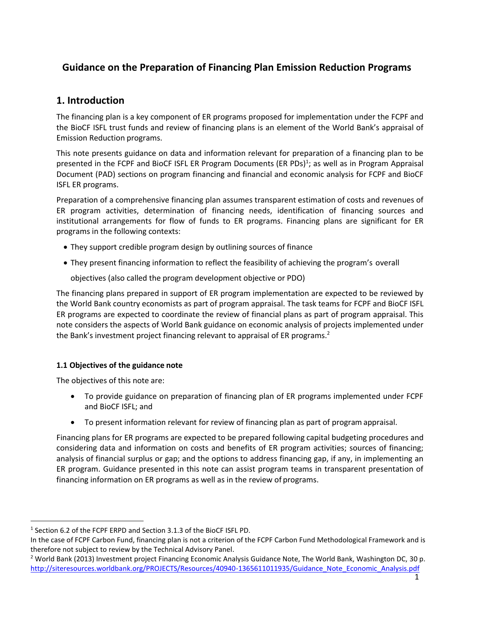# **Guidance on the Preparation of Financing Plan Emission Reduction Programs**

### <span id="page-4-0"></span>**1. Introduction**

The financing plan is a key component of ER programs proposed for implementation under the FCPF and the BioCF ISFL trust funds and review of financing plans is an element of the World Bank's appraisal of Emission Reduction programs.

This note presents guidance on data and information relevant for preparation of a financing plan to be presented in the FCPF and BioCF ISFL ER Program Documents (ER PDs)<sup>1</sup>; as well as in Program Appraisal Document (PAD) sections on program financing and financial and economic analysis for FCPF and BioCF ISFL ER programs.

Preparation of a comprehensive financing plan assumes transparent estimation of costs and revenues of ER program activities, determination of financing needs, identification of financing sources and institutional arrangements for flow of funds to ER programs. Financing plans are significant for ER programs in the following contexts:

- They support credible program design by outlining sources of finance
- They present financing information to reflect the feasibility of achieving the program's overall

objectives (also called the program development objective or PDO)

The financing plans prepared in support of ER program implementation are expected to be reviewed by the World Bank country economists as part of program appraisal. The task teams for FCPF and BioCF ISFL ER programs are expected to coordinate the review of financial plans as part of program appraisal. This note considers the aspects of World Bank guidance on economic analysis of projects implemented under the Bank's investment project financing relevant to appraisal of ER programs.<sup>2</sup>

#### <span id="page-4-1"></span>**1.1 Objectives of the guidance note**

The objectives of this note are:

- To provide guidance on preparation of financing plan of ER programs implemented under FCPF and BioCF ISFL; and
- To present information relevant for review of financing plan as part of program appraisal.

Financing plans for ER programs are expected to be prepared following capital budgeting procedures and considering data and information on costs and benefits of ER program activities; sources of financing; analysis of financial surplus or gap; and the options to address financing gap, if any, in implementing an ER program. Guidance presented in this note can assist program teams in transparent presentation of financing information on ER programs as well as in the review of programs.

<sup>&</sup>lt;sup>1</sup> Section 6.2 of the FCPF ERPD and Section 3.1.3 of the BioCF ISFL PD.

In the case of FCPF Carbon Fund, financing plan is not a criterion of the FCPF Carbon Fund Methodological Framework and is therefore not subject to review by the Technical Advisory Panel.

<sup>&</sup>lt;sup>2</sup> World Bank (2013) Investment project Financing Economic Analysis Guidance Note, The World Bank, Washington DC, 30 p. [http://siteresources.worldbank.org/PROJECTS/Resources/40940-1365611011935/Guidance\\_Note\\_Economic\\_Analysis.pdf](http://siteresources.worldbank.org/PROJECTS/Resources/40940-1365611011935/Guidance_Note_Economic_Analysis.pdf)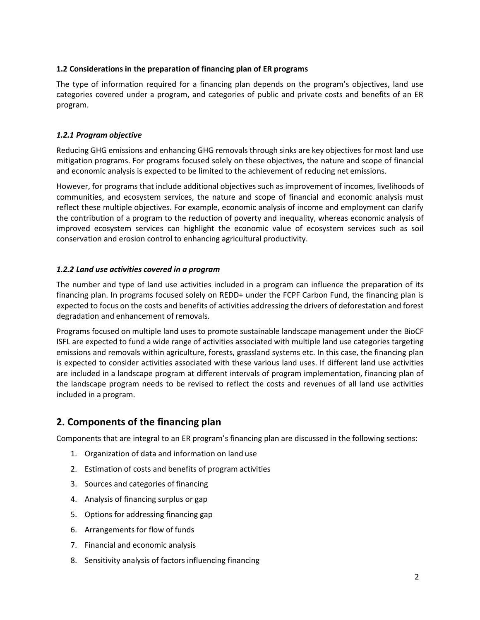#### <span id="page-5-0"></span>**1.2 Considerations in the preparation of financing plan of ER programs**

The type of information required for a financing plan depends on the program's objectives, land use categories covered under a program, and categories of public and private costs and benefits of an ER program.

#### *1.2.1 Program objective*

Reducing GHG emissions and enhancing GHG removals through sinks are key objectives for most land use mitigation programs. For programs focused solely on these objectives, the nature and scope of financial and economic analysis is expected to be limited to the achievement of reducing net emissions.

However, for programs that include additional objectives such as improvement of incomes, livelihoods of communities, and ecosystem services, the nature and scope of financial and economic analysis must reflect these multiple objectives. For example, economic analysis of income and employment can clarify the contribution of a program to the reduction of poverty and inequality, whereas economic analysis of improved ecosystem services can highlight the economic value of ecosystem services such as soil conservation and erosion control to enhancing agricultural productivity.

#### *1.2.2 Land use activities covered in a program*

The number and type of land use activities included in a program can influence the preparation of its financing plan. In programs focused solely on REDD+ under the FCPF Carbon Fund, the financing plan is expected to focus on the costs and benefits of activities addressing the drivers of deforestation and forest degradation and enhancement of removals.

Programs focused on multiple land uses to promote sustainable landscape management under the BioCF ISFL are expected to fund a wide range of activities associated with multiple land use categories targeting emissions and removals within agriculture, forests, grassland systems etc. In this case, the financing plan is expected to consider activities associated with these various land uses. If different land use activities are included in a landscape program at different intervals of program implementation, financing plan of the landscape program needs to be revised to reflect the costs and revenues of all land use activities included in a program.

### <span id="page-5-1"></span>**2. Components of the financing plan**

Components that are integral to an ER program's financing plan are discussed in the following sections:

- 1. Organization of data and information on land use
- 2. Estimation of costs and benefits of program activities
- 3. Sources and categories of financing
- 4. Analysis of financing surplus or gap
- 5. Options for addressing financing gap
- 6. Arrangements for flow of funds
- 7. Financial and economic analysis
- 8. Sensitivity analysis of factors influencing financing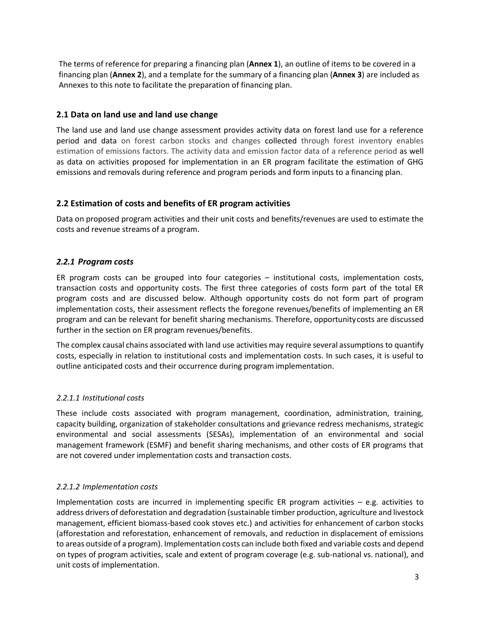The terms of reference for preparing a financing plan (**Annex 1**), an outline of items to be covered in a financing plan (**Annex 2**), and a template for the summary of a financing plan (**Annex 3**) are included as Annexes to this note to facilitate the preparation of financing plan.

#### **2.1 Data on land use and land use change**

The land use and land use change assessment provides activity data on forest land use for a reference period and data on forest carbon stocks and changes collected through forest inventory enables estimation of emissions factors. The activity data and emission factor data of a reference period as well as data on activities proposed for implementation in an ER program facilitate the estimation of GHG emissions and removals during reference and program periods and form inputs to a financing plan.

#### **2.2 Estimation of costs and benefits of ER program activities**

Data on proposed program activities and their unit costs and benefits/revenues are used to estimate the costs and revenue streams of a program.

#### *2.2.1 Program costs*

ER program costs can be grouped into four categories – institutional costs, implementation costs, transaction costs and opportunity costs. The first three categories of costs form part of the total ER program costs and are discussed below. Although opportunity costs do not form part of program implementation costs, their assessment reflects the foregone revenues/benefits of implementing an ER program and can be relevant for benefit sharing mechanisms. Therefore, opportunitycosts are discussed further in the section on ER program revenues/benefits.

The complex causal chains associated with land use activities may require several assumptions to quantify costs, especially in relation to institutional costs and implementation costs. In such cases, it is useful to outline anticipated costs and their occurrence during program implementation.

#### *2.2.1.1 Institutional costs*

These include costs associated with program management, coordination, administration, training, capacity building, organization of stakeholder consultations and grievance redress mechanisms, strategic environmental and social assessments (SESAs), implementation of an environmental and social management framework (ESMF) and benefit sharing mechanisms, and other costs of ER programs that are not covered under implementation costs and transaction costs.

#### *2.2.1.2 Implementation costs*

Implementation costs are incurred in implementing specific ER program activities – e.g. activities to address drivers of deforestation and degradation (sustainable timber production, agriculture and livestock management, efficient biomass-based cook stoves etc.) and activities for enhancement of carbon stocks (afforestation and reforestation, enhancement of removals, and reduction in displacement of emissions to areas outside of a program). Implementation costs can include both fixed and variable costs and depend on types of program activities, scale and extent of program coverage (e.g. sub-national vs. national), and unit costs of implementation.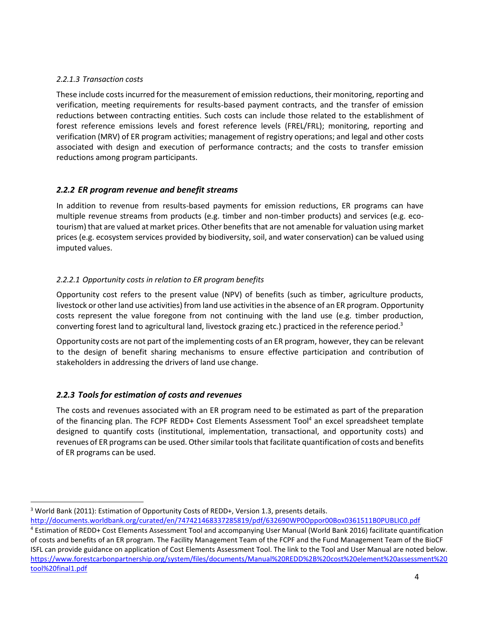#### *2.2.1.3 Transaction costs*

These include costs incurred for the measurement of emission reductions, their monitoring, reporting and verification, meeting requirements for results-based payment contracts, and the transfer of emission reductions between contracting entities. Such costs can include those related to the establishment of forest reference emissions levels and forest reference levels (FREL/FRL); monitoring, reporting and verification (MRV) of ER program activities; management of registry operations; and legal and other costs associated with design and execution of performance contracts; and the costs to transfer emission reductions among program participants.

#### *2.2.2 ER program revenue and benefit streams*

In addition to revenue from results-based payments for emission reductions, ER programs can have multiple revenue streams from products (e.g. timber and non-timber products) and services (e.g. ecotourism) that are valued at market prices. Other benefits that are not amenable for valuation using market prices (e.g. ecosystem services provided by biodiversity, soil, and water conservation) can be valued using imputed values.

#### *2.2.2.1 Opportunity costs in relation to ER program benefits*

Opportunity cost refers to the present value (NPV) of benefits (such as timber, agriculture products, livestock or other land use activities) from land use activities in the absence of an ER program. Opportunity costs represent the value foregone from not continuing with the land use (e.g. timber production, converting forest land to agricultural land, livestock grazing etc.) practiced in the reference period.<sup>3</sup>

Opportunity costs are not part of the implementing costs of an ER program, however, they can be relevant to the design of benefit sharing mechanisms to ensure effective participation and contribution of stakeholders in addressing the drivers of land use change.

#### *2.2.3 Tools for estimation of costs and revenues*

The costs and revenues associated with an ER program need to be estimated as part of the preparation of the financing plan. The FCPF REDD+ Cost Elements Assessment Tool<sup>4</sup> an excel spreadsheet template designed to quantify costs (institutional, implementation, transactional, and opportunity costs) and revenues of ER programs can be used. Other similar tools that facilitate quantification of costs and benefits of ER programs can be used.

<sup>&</sup>lt;sup>3</sup> World Bank (2011): Estimation of Opportunity Costs of REDD+, Version 1.3, presents details.

<http://documents.worldbank.org/curated/en/747421468337285819/pdf/632690WP0Oppor00Box0361511B0PUBLIC0.pdf>

<sup>4</sup> Estimation of REDD+ Cost Elements Assessment Tool and accompanying User Manual (World Bank 2016) facilitate quantification of costs and benefits of an ER program. The Facility Management Team of the FCPF and the Fund Management Team of the BioCF ISFL can provide guidance on application of Cost Elements Assessment Tool. The link to the Tool and User Manual are noted below. [https://www.forestcarbonpartnership.org/system/files/documents/Manual%20REDD%2B%20cost%20element%20assessment%20](https://www.forestcarbonpartnership.org/system/files/documents/Manual%20REDD%2B%20cost%20element%20assessment%20tool%20final1.pdf) [tool%20final1.pdf](https://www.forestcarbonpartnership.org/system/files/documents/Manual%20REDD%2B%20cost%20element%20assessment%20tool%20final1.pdf)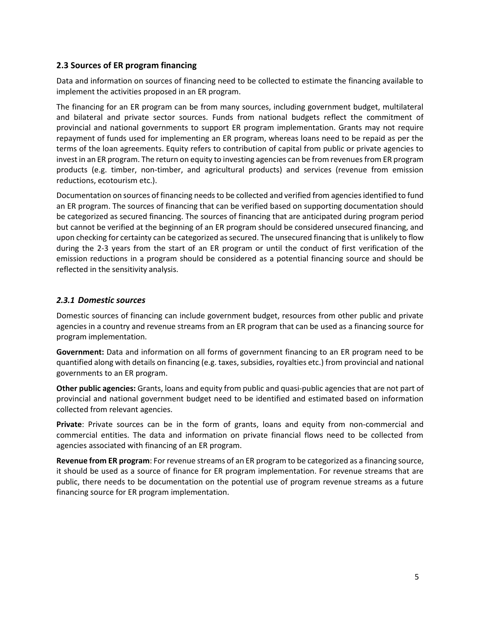#### <span id="page-8-0"></span>**2.3 Sources of ER program financing**

Data and information on sources of financing need to be collected to estimate the financing available to implement the activities proposed in an ER program.

The financing for an ER program can be from many sources, including government budget, multilateral and bilateral and private sector sources. Funds from national budgets reflect the commitment of provincial and national governments to support ER program implementation. Grants may not require repayment of funds used for implementing an ER program, whereas loans need to be repaid as per the terms of the loan agreements. Equity refers to contribution of capital from public or private agencies to invest in an ER program. The return on equity to investing agencies can be from revenues from ER program products (e.g. timber, non-timber, and agricultural products) and services (revenue from emission reductions, ecotourism etc.).

Documentation on sources of financing needs to be collected and verified from agencies identified to fund an ER program. The sources of financing that can be verified based on supporting documentation should be categorized as secured financing. The sources of financing that are anticipated during program period but cannot be verified at the beginning of an ER program should be considered unsecured financing, and upon checking for certainty can be categorized assecured. The unsecured financing that is unlikely to flow during the 2-3 years from the start of an ER program or until the conduct of first verification of the emission reductions in a program should be considered as a potential financing source and should be reflected in the sensitivity analysis.

#### *2.3.1 Domestic sources*

Domestic sources of financing can include government budget, resources from other public and private agencies in a country and revenue streams from an ER program that can be used as a financing source for program implementation.

**Government:** Data and information on all forms of government financing to an ER program need to be quantified along with details on financing (e.g. taxes, subsidies, royalties etc.) from provincial and national governments to an ER program.

**Other public agencies:** Grants, loans and equity from public and quasi-public agencies that are not part of provincial and national government budget need to be identified and estimated based on information collected from relevant agencies.

**Private**: Private sources can be in the form of grants, loans and equity from non-commercial and commercial entities. The data and information on private financial flows need to be collected from agencies associated with financing of an ER program.

**Revenue from ER program**: For revenue streams of an ER program to be categorized as a financing source, it should be used as a source of finance for ER program implementation. For revenue streams that are public, there needs to be documentation on the potential use of program revenue streams as a future financing source for ER program implementation.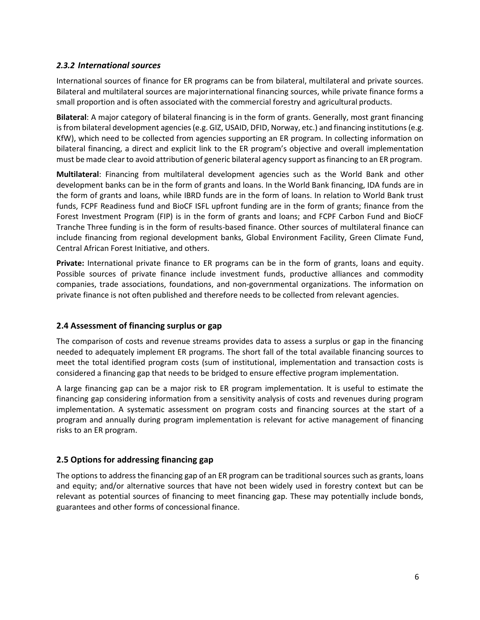#### *2.3.2 International sources*

International sources of finance for ER programs can be from bilateral, multilateral and private sources. Bilateral and multilateral sources are majorinternational financing sources, while private finance forms a small proportion and is often associated with the commercial forestry and agricultural products.

**Bilateral**: A major category of bilateral financing is in the form of grants. Generally, most grant financing is from bilateral development agencies (e.g. GIZ, USAID, DFID, Norway, etc.) and financing institutions (e.g. KfW), which need to be collected from agencies supporting an ER program. In collecting information on bilateral financing, a direct and explicit link to the ER program's objective and overall implementation must be made clear to avoid attribution of generic bilateral agency support as financing to an ER program.

**Multilateral**: Financing from multilateral development agencies such as the World Bank and other development banks can be in the form of grants and loans. In the World Bank financing, IDA funds are in the form of grants and loans, while IBRD funds are in the form of loans. In relation to World Bank trust funds, FCPF Readiness fund and BioCF ISFL upfront funding are in the form of grants; finance from the Forest Investment Program (FIP) is in the form of grants and loans; and FCPF Carbon Fund and BioCF Tranche Three funding is in the form of results-based finance. Other sources of multilateral finance can include financing from regional development banks, Global Environment Facility, Green Climate Fund, Central African Forest Initiative, and others.

**Private:** International private finance to ER programs can be in the form of grants, loans and equity. Possible sources of private finance include investment funds, productive alliances and commodity companies, trade associations, foundations, and non-governmental organizations. The information on private finance is not often published and therefore needs to be collected from relevant agencies.

#### <span id="page-9-0"></span>**2.4 Assessment of financing surplus or gap**

The comparison of costs and revenue streams provides data to assess a surplus or gap in the financing needed to adequately implement ER programs. The short fall of the total available financing sources to meet the total identified program costs (sum of institutional, implementation and transaction costs is considered a financing gap that needs to be bridged to ensure effective program implementation.

A large financing gap can be a major risk to ER program implementation. It is useful to estimate the financing gap considering information from a sensitivity analysis of costs and revenues during program implementation. A systematic assessment on program costs and financing sources at the start of a program and annually during program implementation is relevant for active management of financing risks to an ER program.

#### <span id="page-9-1"></span>**2.5 Options for addressing financing gap**

The options to address the financing gap of an ER program can be traditional sources such as grants, loans and equity; and/or alternative sources that have not been widely used in forestry context but can be relevant as potential sources of financing to meet financing gap. These may potentially include bonds, guarantees and other forms of concessional finance.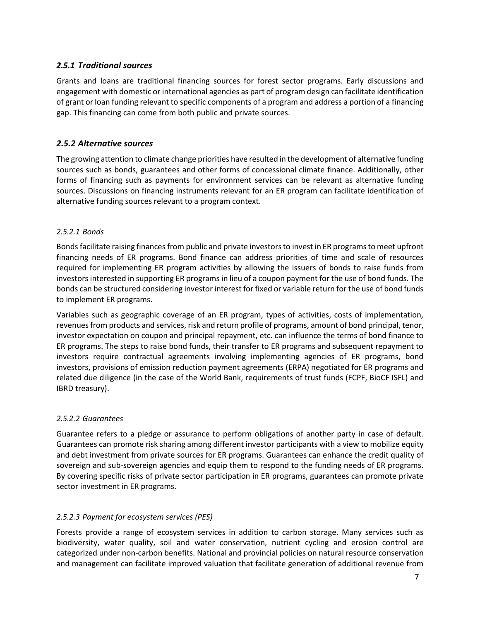#### *2.5.1 Traditional sources*

Grants and loans are traditional financing sources for forest sector programs. Early discussions and engagement with domestic or international agencies as part of program design can facilitate identification of grant or loan funding relevant to specific components of a program and address a portion of a financing gap. This financing can come from both public and private sources.

#### *2.5.2 Alternative sources*

The growing attention to climate change priorities have resulted in the development of alternative funding sources such as bonds, guarantees and other forms of concessional climate finance. Additionally, other forms of financing such as payments for environment services can be relevant as alternative funding sources. Discussions on financing instruments relevant for an ER program can facilitate identification of alternative funding sources relevant to a program context.

#### *2.5.2.1 Bonds*

Bondsfacilitate raising finances from public and private investorsto invest in ER programsto meet upfront financing needs of ER programs. Bond finance can address priorities of time and scale of resources required for implementing ER program activities by allowing the issuers of bonds to raise funds from investors interested in supporting ER programs in lieu of a coupon payment for the use of bond funds. The bonds can be structured considering investor interest for fixed or variable return for the use of bond funds to implement ER programs.

Variables such as geographic coverage of an ER program, types of activities, costs of implementation, revenuesfrom products and services, risk and return profile of programs, amount of bond principal, tenor, investor expectation on coupon and principal repayment, etc. can influence the terms of bond finance to ER programs. The steps to raise bond funds, their transfer to ER programs and subsequent repayment to investors require contractual agreements involving implementing agencies of ER programs, bond investors, provisions of emission reduction payment agreements (ERPA) negotiated for ER programs and related due diligence (in the case of the World Bank, requirements of trust funds (FCPF, BioCF ISFL) and IBRD treasury).

#### *2.5.2.2 Guarantees*

Guarantee refers to a pledge or assurance to perform obligations of another party in case of default. Guarantees can promote risk sharing among different investor participants with a view to mobilize equity and debt investment from private sources for ER programs. Guarantees can enhance the credit quality of sovereign and sub-sovereign agencies and equip them to respond to the funding needs of ER programs. By covering specific risks of private sector participation in ER programs, guarantees can promote private sector investment in ER programs.

#### *2.5.2.3 Payment for ecosystem services (PES)*

Forests provide a range of ecosystem services in addition to carbon storage. Many services such as biodiversity, water quality, soil and water conservation, nutrient cycling and erosion control are categorized under non-carbon benefits. National and provincial policies on natural resource conservation and management can facilitate improved valuation that facilitate generation of additional revenue from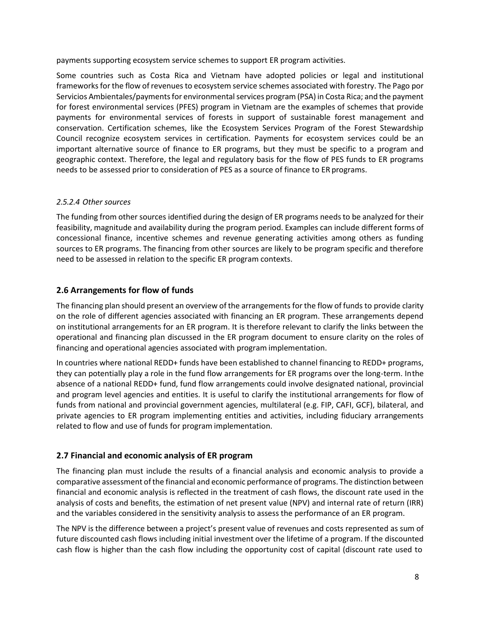payments supporting ecosystem service schemes to support ER program activities.

Some countries such as Costa Rica and Vietnam have adopted policies or legal and institutional frameworks for the flow of revenues to ecosystem service schemes associated with forestry. The Pago por Servicios Ambientales/payments for environmental services program (PSA) in Costa Rica; and the payment for forest environmental services (PFES) program in Vietnam are the examples of schemes that provide payments for environmental services of forests in support of sustainable forest management and conservation. Certification schemes, like the Ecosystem Services Program of the Forest Stewardship Council recognize ecosystem services in certification. Payments for ecosystem services could be an important alternative source of finance to ER programs, but they must be specific to a program and geographic context. Therefore, the legal and regulatory basis for the flow of PES funds to ER programs needs to be assessed prior to consideration of PES as a source of finance to ER programs.

#### *2.5.2.4 Other sources*

The funding from other sources identified during the design of ER programs needs to be analyzed for their feasibility, magnitude and availability during the program period. Examples can include different forms of concessional finance, incentive schemes and revenue generating activities among others as funding sources to ER programs. The financing from other sources are likely to be program specific and therefore need to be assessed in relation to the specific ER program contexts.

#### <span id="page-11-0"></span>**2.6 Arrangements for flow of funds**

The financing plan should present an overview of the arrangements for the flow of funds to provide clarity on the role of different agencies associated with financing an ER program. These arrangements depend on institutional arrangements for an ER program. It is therefore relevant to clarify the links between the operational and financing plan discussed in the ER program document to ensure clarity on the roles of financing and operational agencies associated with program implementation.

In countries where national REDD+ funds have been established to channel financing to REDD+ programs, they can potentially play a role in the fund flow arrangements for ER programs over the long-term. Inthe absence of a national REDD+ fund, fund flow arrangements could involve designated national, provincial and program level agencies and entities. It is useful to clarify the institutional arrangements for flow of funds from national and provincial government agencies, multilateral (e.g. FIP, CAFI, GCF), bilateral, and private agencies to ER program implementing entities and activities, including fiduciary arrangements related to flow and use of funds for program implementation.

#### **2.7 Financial and economic analysis of ER program**

The financing plan must include the results of a financial analysis and economic analysis to provide a comparative assessment of the financial and economic performance of programs. The distinction between financial and economic analysis is reflected in the treatment of cash flows, the discount rate used in the analysis of costs and benefits, the estimation of net present value (NPV) and internal rate of return (IRR) and the variables considered in the sensitivity analysis to assess the performance of an ER program.

The NPV is the difference between a project's present value of revenues and costs represented as sum of future discounted cash flows including initial investment over the lifetime of a program. If the discounted cash flow is higher than the cash flow including the opportunity cost of capital (discount rate used to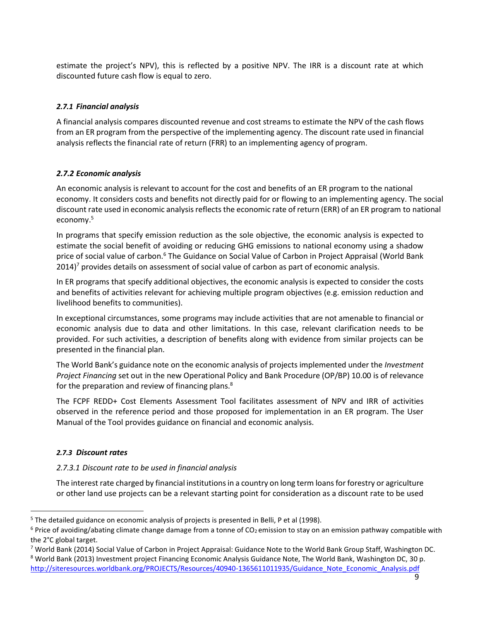estimate the project's NPV), this is reflected by a positive NPV. The IRR is a discount rate at which discounted future cash flow is equal to zero.

#### *2.7.1 Financial analysis*

A financial analysis compares discounted revenue and cost streams to estimate the NPV of the cash flows from an ER program from the perspective of the implementing agency. The discount rate used in financial analysis reflects the financial rate of return (FRR) to an implementing agency of program.

#### *2.7.2 Economic analysis*

An economic analysis is relevant to account for the cost and benefits of an ER program to the national economy. It considers costs and benefits not directly paid for or flowing to an implementing agency. The social discount rate used in economic analysisreflects the economic rate of return (ERR) of an ER program to national economy.<sup>5</sup>

In programs that specify emission reduction as the sole objective, the economic analysis is expected to estimate the social benefit of avoiding or reducing GHG emissions to national economy using a shadow price of social value of carbon.<sup>6</sup> The Guidance on Social Value of Carbon in Project Appraisal (World Bank  $2014$ <sup>7</sup> provides details on assessment of social value of carbon as part of economic analysis.

In ER programs that specify additional objectives, the economic analysis is expected to consider the costs and benefits of activities relevant for achieving multiple program objectives (e.g. emission reduction and livelihood benefits to communities).

In exceptional circumstances, some programs may include activities that are not amenable to financial or economic analysis due to data and other limitations. In this case, relevant clarification needs to be provided. For such activities, a description of benefits along with evidence from similar projects can be presented in the financial plan.

The World Bank's guidance note on the economic analysis of projects implemented under the *Investment Project Financing* set out in the new Operational Policy and Bank Procedure (OP/BP) 10.00 is of relevance for the preparation and review of financing plans. $8<sup>8</sup>$ 

The FCPF REDD+ Cost Elements Assessment Tool facilitates assessment of NPV and IRR of activities observed in the reference period and those proposed for implementation in an ER program. The User Manual of the Tool provides guidance on financial and economic analysis.

#### *2.7.3 Discount rates*

#### *2.7.3.1 Discount rate to be used in financial analysis*

The interest rate charged by financial institutions in a country on long term loans for forestry or agriculture or other land use projects can be a relevant starting point for consideration as a discount rate to be used

<sup>&</sup>lt;sup>5</sup> The detailed guidance on economic analysis of projects is presented in Belli, P et al (1998).

 $6$  Price of avoiding/abating climate change damage from a tonne of CO<sub>2</sub> emission to stay on an emission pathway compatible with the 2°C global target.

<sup>7</sup> World Bank (2014) Social Value of Carbon in Project Appraisal: Guidance Note to the World Bank Group Staff, Washington DC.

<sup>&</sup>lt;sup>8</sup> World Bank (2013) Investment project Financing Economic Analysis Guidance Note, The World Bank, Washington DC, 30 p. [http://siteresources.worldbank.org/PROJECTS/Resources/40940-1365611011935/Guidance\\_Note\\_Economic\\_Analysis.pdf](http://siteresources.worldbank.org/PROJECTS/Resources/40940-1365611011935/Guidance_Note_Economic_Analysis.pdf)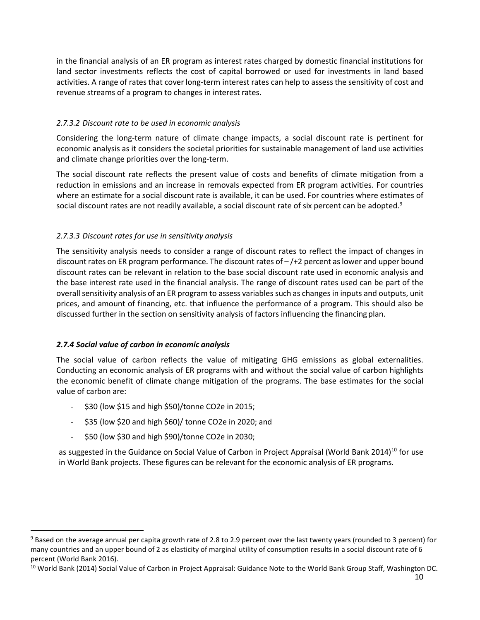in the financial analysis of an ER program as interest rates charged by domestic financial institutions for land sector investments reflects the cost of capital borrowed or used for investments in land based activities. A range of rates that cover long-term interest rates can help to assess the sensitivity of cost and revenue streams of a program to changes in interest rates.

#### *2.7.3.2 Discount rate to be used in economic analysis*

Considering the long-term nature of climate change impacts, a social discount rate is pertinent for economic analysis as it considers the societal priorities for sustainable management of land use activities and climate change priorities over the long-term.

The social discount rate reflects the present value of costs and benefits of climate mitigation from a reduction in emissions and an increase in removals expected from ER program activities. For countries where an estimate for a social discount rate is available, it can be used. For countries where estimates of social discount rates are not readily available, a social discount rate of six percent can be adopted.<sup>9</sup>

#### *2.7.3.3 Discount rates for use in sensitivity analysis*

The sensitivity analysis needs to consider a range of discount rates to reflect the impact of changes in discount rates on ER program performance. The discount rates of – /+2 percent aslower and upper bound discount rates can be relevant in relation to the base social discount rate used in economic analysis and the base interest rate used in the financial analysis. The range of discount rates used can be part of the overall sensitivity analysis of an ER program to assess variables such as changes in inputs and outputs, unit prices, and amount of financing, etc. that influence the performance of a program. This should also be discussed further in the section on sensitivity analysis of factors influencing the financing plan.

#### *2.7.4 Social value of carbon in economic analysis*

The social value of carbon reflects the value of mitigating GHG emissions as global externalities. Conducting an economic analysis of ER programs with and without the social value of carbon highlights the economic benefit of climate change mitigation of the programs. The base estimates for the social value of carbon are:

- \$30 (low \$15 and high \$50)/tonne CO2e in 2015;
- \$35 (low \$20 and high \$60)/ tonne CO2e in 2020; and
- \$50 (low \$30 and high \$90)/tonne CO2e in 2030;

as suggested in the Guidance on Social Value of Carbon in Project Appraisal (World Bank 2014)<sup>10</sup> for use in World Bank projects. These figures can be relevant for the economic analysis of ER programs.

<sup>&</sup>lt;sup>9</sup> Based on the average annual per capita growth rate of 2.8 to 2.9 percent over the last twenty years (rounded to 3 percent) for many countries and an upper bound of 2 as elasticity of marginal utility of consumption results in a social discount rate of 6 percent (World Bank 2016).

<sup>&</sup>lt;sup>10</sup> World Bank (2014) Social Value of Carbon in Project Appraisal: Guidance Note to the World Bank Group Staff, Washington DC.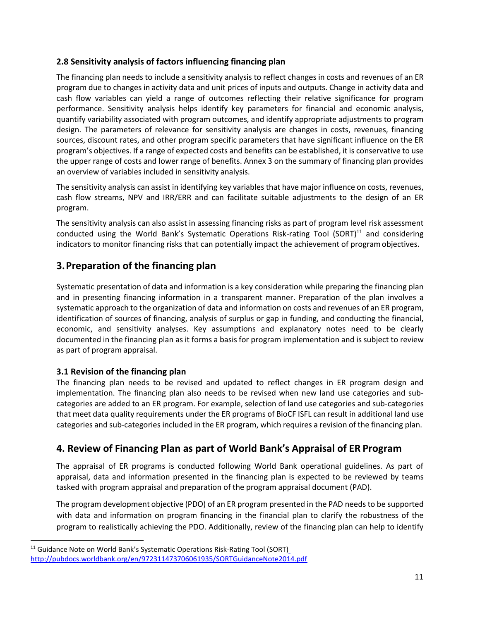#### **2.8 Sensitivity analysis of factors influencing financing plan**

The financing plan needs to include a sensitivity analysis to reflect changes in costs and revenues of an ER program due to changes in activity data and unit prices of inputs and outputs. Change in activity data and cash flow variables can yield a range of outcomes reflecting their relative significance for program performance. Sensitivity analysis helps identify key parameters for financial and economic analysis, quantify variability associated with program outcomes, and identify appropriate adjustments to program design. The parameters of relevance for sensitivity analysis are changes in costs, revenues, financing sources, discount rates, and other program specific parameters that have significant influence on the ER program's objectives. If a range of expected costs and benefits can be established, it is conservative to use the upper range of costs and lower range of benefits. Annex 3 on the summary of financing plan provides an overview of variables included in sensitivity analysis.

The sensitivity analysis can assist in identifying key variables that have major influence on costs, revenues, cash flow streams, NPV and IRR/ERR and can facilitate suitable adjustments to the design of an ER program.

The sensitivity analysis can also assist in assessing financing risks as part of program level risk assessment conducted using the World Bank's Systematic Operations Risk-rating Tool (SORT)<sup>11</sup> and considering indicators to monitor financing risks that can potentially impact the achievement of program objectives.

## <span id="page-14-0"></span>**3.Preparation of the financing plan**

Systematic presentation of data and information is a key consideration while preparing the financing plan and in presenting financing information in a transparent manner. Preparation of the plan involves a systematic approach to the organization of data and information on costs and revenues of an ER program, identification of sources of financing, analysis of surplus or gap in funding, and conducting the financial, economic, and sensitivity analyses. Key assumptions and explanatory notes need to be clearly documented in the financing plan as it forms a basis for program implementation and is subject to review as part of program appraisal.

#### <span id="page-14-1"></span>**3.1 Revision of the financing plan**

The financing plan needs to be revised and updated to reflect changes in ER program design and implementation. The financing plan also needs to be revised when new land use categories and subcategories are added to an ER program. For example, selection of land use categories and sub-categories that meet data quality requirements under the ER programs of BioCF ISFL can result in additional land use categories and sub-categories included in the ER program, which requires a revision of the financing plan.

# **4. Review of Financing Plan as part of World Bank's Appraisal of ER Program**

The appraisal of ER programs is conducted following World Bank operational guidelines. As part of appraisal, data and information presented in the financing plan is expected to be reviewed by teams tasked with program appraisal and preparation of the program appraisal document (PAD).

The program development objective (PDO) of an ER program presented in the PAD needs to be supported with data and information on program financing in the financial plan to clarify the robustness of the program to realistically achieving the PDO. Additionally, review of the financing plan can help to identify

<sup>&</sup>lt;sup>11</sup> Guidance Note on World Bank's Systematic Operations Risk-Rating Tool (SORT[\)](http://pubdocs.worldbank.org/en/972311473706061935/SORTGuidanceNote2014.pdf) <http://pubdocs.worldbank.org/en/972311473706061935/SORTGuidanceNote2014.pdf>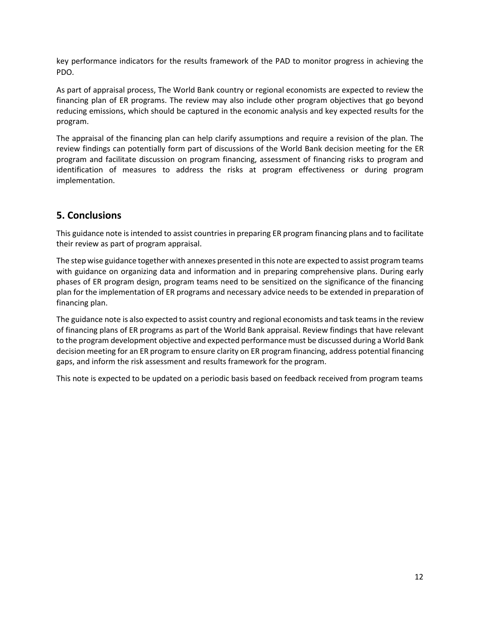key performance indicators for the results framework of the PAD to monitor progress in achieving the PDO.

As part of appraisal process, The World Bank country or regional economists are expected to review the financing plan of ER programs. The review may also include other program objectives that go beyond reducing emissions, which should be captured in the economic analysis and key expected results for the program.

The appraisal of the financing plan can help clarify assumptions and require a revision of the plan. The review findings can potentially form part of discussions of the World Bank decision meeting for the ER program and facilitate discussion on program financing, assessment of financing risks to program and identification of measures to address the risks at program effectiveness or during program implementation.

### <span id="page-15-0"></span>**5. Conclusions**

This guidance note is intended to assist countries in preparing ER program financing plans and to facilitate their review as part of program appraisal.

The step wise guidance together with annexes presented in this note are expected to assist program teams with guidance on organizing data and information and in preparing comprehensive plans. During early phases of ER program design, program teams need to be sensitized on the significance of the financing plan for the implementation of ER programs and necessary advice needs to be extended in preparation of financing plan.

The guidance note is also expected to assist country and regional economists and task teams in the review of financing plans of ER programs as part of the World Bank appraisal. Review findings that have relevant to the program development objective and expected performance must be discussed during a World Bank decision meeting for an ER program to ensure clarity on ER program financing, address potential financing gaps, and inform the risk assessment and results framework for the program.

This note is expected to be updated on a periodic basis based on feedback received from program teams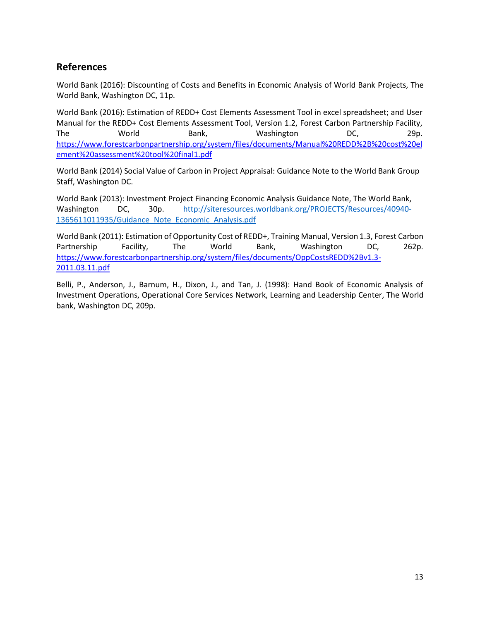## **References**

World Bank (2016): Discounting of Costs and Benefits in Economic Analysis of World Bank Projects, The World Bank, Washington DC, 11p.

World Bank (2016): Estimation of REDD+ Cost Elements Assessment Tool in excel spreadsheet; and User Manual for the REDD+ Cost Elements Assessment Tool, Version 1.2, Forest Carbon Partnership Facility, The World Bank, Washington DC, 29p. [https://www.forestcarbonpartnership.org/system/files/documents/Manual%20REDD%2B%20cost%20el](https://www.forestcarbonpartnership.org/system/files/documents/Manual%20REDD%2B%20cost%20element%20assessment%20tool%20final1.pdf) [ement%20assessment%20tool%20final1.pdf](https://www.forestcarbonpartnership.org/system/files/documents/Manual%20REDD%2B%20cost%20element%20assessment%20tool%20final1.pdf)

World Bank (2014) Social Value of Carbon in Project Appraisal: Guidance Note to the World Bank Group Staff, Washington DC.

World Bank (2013): Investment Project Financing Economic Analysis Guidance Note, The World Bank, Washington DC, 30p. [http://siteresources.worldbank.org/PROJECTS/Resources/40940-](http://siteresources.worldbank.org/PROJECTS/Resources/40940-1365611011935/Guidance_Note_Economic_Analysis.pdf) [1365611011935/Guidance\\_Note\\_Economic\\_Analysis.pdf](http://siteresources.worldbank.org/PROJECTS/Resources/40940-1365611011935/Guidance_Note_Economic_Analysis.pdf)

World Bank (2011): Estimation of Opportunity Cost of REDD+, Training Manual, Version 1.3, Forest Carbon Partnership Facility, The World Bank, Washington DC, 262p. [https://www.forestcarbonpartnership.org/system/files/documents/OppCostsREDD%2Bv1.3-](https://www.forestcarbonpartnership.org/system/files/documents/OppCostsREDD%2Bv1.3-2011.03.11.pdf) [2011.03.11.pdf](https://www.forestcarbonpartnership.org/system/files/documents/OppCostsREDD%2Bv1.3-2011.03.11.pdf)

Belli, P., Anderson, J., Barnum, H., Dixon, J., and Tan, J. (1998): Hand Book of Economic Analysis of Investment Operations, Operational Core Services Network, Learning and Leadership Center, The World bank, Washington DC, 209p.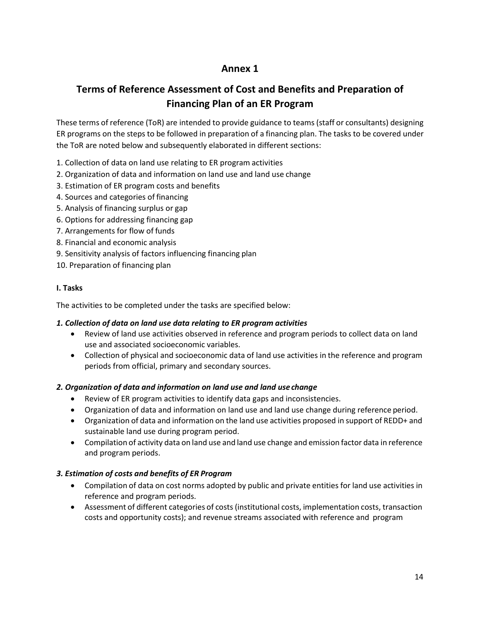# **Annex 1**

# **Terms of Reference Assessment of Cost and Benefits and Preparation of Financing Plan of an ER Program**

These terms of reference (ToR) are intended to provide guidance to teams (staff or consultants) designing ER programs on the steps to be followed in preparation of a financing plan. The tasks to be covered under the ToR are noted below and subsequently elaborated in different sections:

- 1. Collection of data on land use relating to ER program activities
- 2. Organization of data and information on land use and land use change
- 3. Estimation of ER program costs and benefits
- 4. Sources and categories of financing
- 5. Analysis of financing surplus or gap
- 6. Options for addressing financing gap
- 7. Arrangements for flow of funds
- 8. Financial and economic analysis
- 9. Sensitivity analysis of factors influencing financing plan
- 10. Preparation of financing plan

#### **I. Tasks**

The activities to be completed under the tasks are specified below:

#### *1. Collection of data on land use data relating to ER program activities*

- Review of land use activities observed in reference and program periods to collect data on land use and associated socioeconomic variables.
- Collection of physical and socioeconomic data of land use activities in the reference and program periods from official, primary and secondary sources.

#### *2. Organization of data and information on land use and land usechange*

- Review of ER program activities to identify data gaps and inconsistencies.
- Organization of data and information on land use and land use change during reference period.
- Organization of data and information on the land use activities proposed in support of REDD+ and sustainable land use during program period.
- Compilation of activity data on land use and land use change and emission factor data in reference and program periods.

#### *3. Estimation of costs and benefits of ER Program*

- Compilation of data on cost norms adopted by public and private entities for land use activities in reference and program periods.
- Assessment of different categories of costs (institutional costs, implementation costs, transaction costs and opportunity costs); and revenue streams associated with reference and program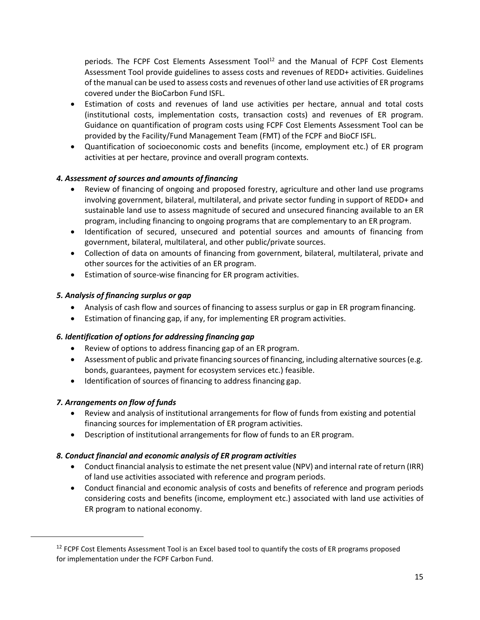periods. The FCPF Cost Elements Assessment  $Tool<sup>12</sup>$  and the Manual of FCPF Cost Elements Assessment Tool provide guidelines to assess costs and revenues of REDD+ activities. Guidelines of the manual can be used to assess costs and revenues of otherland use activities of ER programs covered under the BioCarbon Fund ISFL.

- Estimation of costs and revenues of land use activities per hectare, annual and total costs (institutional costs, implementation costs, transaction costs) and revenues of ER program. Guidance on quantification of program costs using FCPF Cost Elements Assessment Tool can be provided by the Facility/Fund Management Team (FMT) of the FCPF and BioCF ISFL.
- Quantification of socioeconomic costs and benefits (income, employment etc.) of ER program activities at per hectare, province and overall program contexts.

#### *4. Assessment of sources and amounts of financing*

- Review of financing of ongoing and proposed forestry, agriculture and other land use programs involving government, bilateral, multilateral, and private sector funding in support of REDD+ and sustainable land use to assess magnitude of secured and unsecured financing available to an ER program, including financing to ongoing programs that are complementary to an ER program.
- Identification of secured, unsecured and potential sources and amounts of financing from government, bilateral, multilateral, and other public/private sources.
- Collection of data on amounts of financing from government, bilateral, multilateral, private and other sources for the activities of an ER program.
- Estimation of source-wise financing for ER program activities.

#### *5. Analysis of financing surplus or gap*

- Analysis of cash flow and sources of financing to assess surplus or gap in ER program financing.
- Estimation of financing gap, if any, for implementing ER program activities.

#### *6. Identification of options for addressing financing gap*

- Review of options to address financing gap of an ER program.
- Assessment of public and private financing sources of financing, including alternative sources (e.g. bonds, guarantees, payment for ecosystem services etc.) feasible.
- Identification of sources of financing to address financing gap.

#### *7. Arrangements on flow of funds*

- Review and analysis of institutional arrangements for flow of funds from existing and potential financing sources for implementation of ER program activities.
- Description of institutional arrangements for flow of funds to an ER program.

#### *8. Conduct financial and economic analysis of ER program activities*

- Conduct financial analysisto estimate the net present value (NPV) and internal rate of return (IRR) of land use activities associated with reference and program periods.
- Conduct financial and economic analysis of costs and benefits of reference and program periods considering costs and benefits (income, employment etc.) associated with land use activities of ER program to national economy.

<sup>&</sup>lt;sup>12</sup> FCPF Cost Elements Assessment Tool is an Excel based tool to quantify the costs of ER programs proposed for implementation under the FCPF Carbon Fund.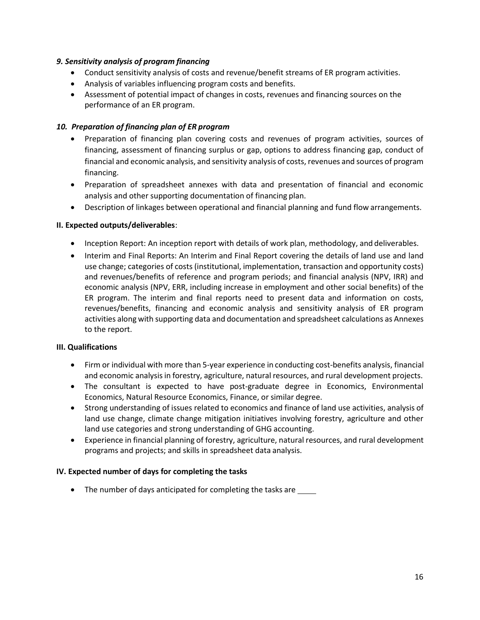#### *9. Sensitivity analysis of program financing*

- Conduct sensitivity analysis of costs and revenue/benefit streams of ER program activities.
- Analysis of variables influencing program costs and benefits.
- Assessment of potential impact of changes in costs, revenues and financing sources on the performance of an ER program.

#### *10. Preparation of financing plan of ER program*

- Preparation of financing plan covering costs and revenues of program activities, sources of financing, assessment of financing surplus or gap, options to address financing gap, conduct of financial and economic analysis, and sensitivity analysis of costs, revenues and sources of program financing.
- Preparation of spreadsheet annexes with data and presentation of financial and economic analysis and other supporting documentation of financing plan.
- Description of linkages between operational and financial planning and fund flow arrangements.

#### **II. Expected outputs/deliverables**:

- Inception Report: An inception report with details of work plan, methodology, and deliverables.
- Interim and Final Reports: An Interim and Final Report covering the details of land use and land use change; categories of costs (institutional, implementation, transaction and opportunity costs) and revenues/benefits of reference and program periods; and financial analysis (NPV, IRR) and economic analysis (NPV, ERR, including increase in employment and other social benefits) of the ER program. The interim and final reports need to present data and information on costs, revenues/benefits, financing and economic analysis and sensitivity analysis of ER program activities along with supporting data and documentation and spreadsheet calculations as Annexes to the report.

#### **III. Qualifications**

- Firm or individual with more than 5-year experience in conducting cost-benefits analysis, financial and economic analysisin forestry, agriculture, natural resources, and rural development projects.
- The consultant is expected to have post-graduate degree in Economics, Environmental Economics, Natural Resource Economics, Finance, or similar degree.
- Strong understanding of issues related to economics and finance of land use activities, analysis of land use change, climate change mitigation initiatives involving forestry, agriculture and other land use categories and strong understanding of GHG accounting.
- Experience in financial planning of forestry, agriculture, natural resources, and rural development programs and projects; and skills in spreadsheet data analysis.

#### **IV. Expected number of days for completing the tasks**

• The number of days anticipated for completing the tasks are \_\_\_\_\_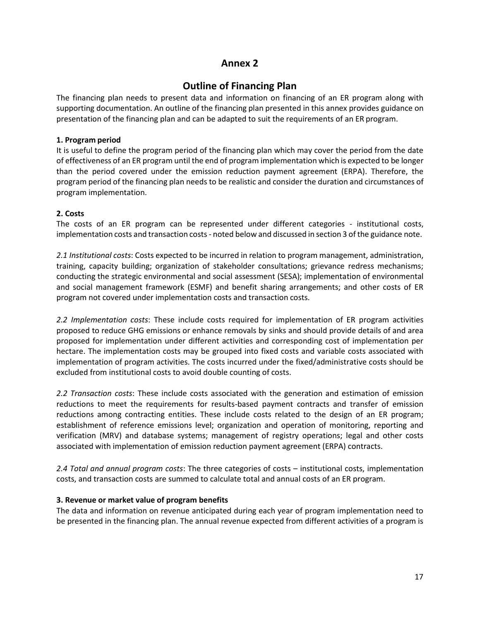## **Annex 2**

## **Outline of Financing Plan**

The financing plan needs to present data and information on financing of an ER program along with supporting documentation. An outline of the financing plan presented in this annex provides guidance on presentation of the financing plan and can be adapted to suit the requirements of an ER program.

#### **1. Program period**

It is useful to define the program period of the financing plan which may cover the period from the date of effectiveness of an ER program until the end of program implementation which is expected to be longer than the period covered under the emission reduction payment agreement (ERPA). Therefore, the program period of the financing plan needs to be realistic and consider the duration and circumstances of program implementation.

#### **2. Costs**

The costs of an ER program can be represented under different categories - institutional costs, implementation costs and transaction costs- noted below and discussed in section 3 of the guidance note.

*2.1 Institutional costs*: Costs expected to be incurred in relation to program management, administration, training, capacity building; organization of stakeholder consultations; grievance redress mechanisms; conducting the strategic environmental and social assessment (SESA); implementation of environmental and social management framework (ESMF) and benefit sharing arrangements; and other costs of ER program not covered under implementation costs and transaction costs.

*2.2 Implementation costs*: These include costs required for implementation of ER program activities proposed to reduce GHG emissions or enhance removals by sinks and should provide details of and area proposed for implementation under different activities and corresponding cost of implementation per hectare. The implementation costs may be grouped into fixed costs and variable costs associated with implementation of program activities. The costs incurred under the fixed/administrative costs should be excluded from institutional costs to avoid double counting of costs.

*2.2 Transaction costs*: These include costs associated with the generation and estimation of emission reductions to meet the requirements for results-based payment contracts and transfer of emission reductions among contracting entities. These include costs related to the design of an ER program; establishment of reference emissions level; organization and operation of monitoring, reporting and verification (MRV) and database systems; management of registry operations; legal and other costs associated with implementation of emission reduction payment agreement (ERPA) contracts.

*2.4 Total and annual program costs*: The three categories of costs – institutional costs, implementation costs, and transaction costs are summed to calculate total and annual costs of an ER program.

#### **3. Revenue or market value of program benefits**

The data and information on revenue anticipated during each year of program implementation need to be presented in the financing plan. The annual revenue expected from different activities of a program is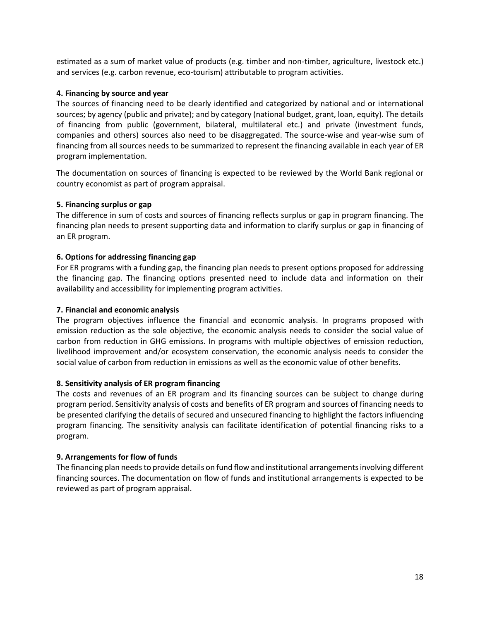estimated as a sum of market value of products (e.g. timber and non-timber, agriculture, livestock etc.) and services (e.g. carbon revenue, eco-tourism) attributable to program activities.

#### **4. Financing by source and year**

The sources of financing need to be clearly identified and categorized by national and or international sources; by agency (public and private); and by category (national budget, grant, loan, equity). The details of financing from public (government, bilateral, multilateral etc.) and private (investment funds, companies and others) sources also need to be disaggregated. The source-wise and year-wise sum of financing from all sources needs to be summarized to represent the financing available in each year of ER program implementation.

The documentation on sources of financing is expected to be reviewed by the World Bank regional or country economist as part of program appraisal.

#### **5. Financing surplus or gap**

The difference in sum of costs and sources of financing reflects surplus or gap in program financing. The financing plan needs to present supporting data and information to clarify surplus or gap in financing of an ER program.

#### **6. Options for addressing financing gap**

For ER programs with a funding gap, the financing plan needs to present options proposed for addressing the financing gap. The financing options presented need to include data and information on their availability and accessibility for implementing program activities.

#### **7. Financial and economic analysis**

The program objectives influence the financial and economic analysis. In programs proposed with emission reduction as the sole objective, the economic analysis needs to consider the social value of carbon from reduction in GHG emissions. In programs with multiple objectives of emission reduction, livelihood improvement and/or ecosystem conservation, the economic analysis needs to consider the social value of carbon from reduction in emissions as well as the economic value of other benefits.

#### **8. Sensitivity analysis of ER program financing**

The costs and revenues of an ER program and its financing sources can be subject to change during program period. Sensitivity analysis of costs and benefits of ER program and sources of financing needs to be presented clarifying the details of secured and unsecured financing to highlight the factors influencing program financing. The sensitivity analysis can facilitate identification of potential financing risks to a program.

#### **9. Arrangements for flow of funds**

The financing plan needs to provide details on fund flow and institutional arrangements involving different financing sources. The documentation on flow of funds and institutional arrangements is expected to be reviewed as part of program appraisal.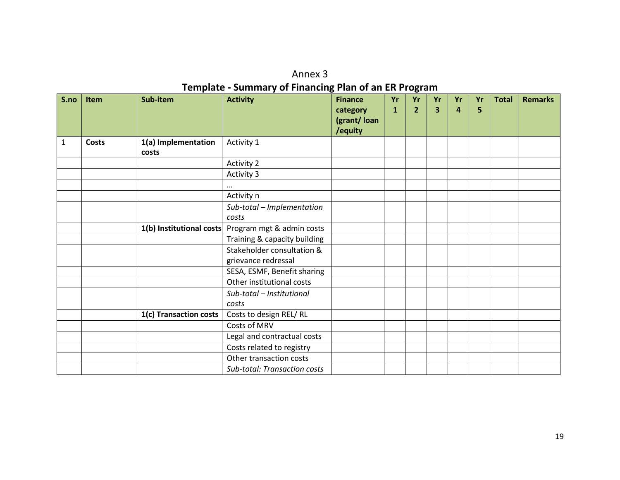| Annex 3                                                      |
|--------------------------------------------------------------|
| <b>Template - Summary of Financing Plan of an ER Program</b> |

| S.no         | <b>Item</b>  | Sub-item                     | <b>Activity</b>                                    | <b>Finance</b><br>category<br>(grant/loan<br>/equity | Yr<br>$\mathbf{1}$ | Yr<br>$\overline{2}$ | Yr<br>3 | Yr<br>$\overline{a}$ | Yr<br>5 | <b>Total</b> | <b>Remarks</b> |
|--------------|--------------|------------------------------|----------------------------------------------------|------------------------------------------------------|--------------------|----------------------|---------|----------------------|---------|--------------|----------------|
| $\mathbf{1}$ | <b>Costs</b> | 1(a) Implementation<br>costs | Activity 1                                         |                                                      |                    |                      |         |                      |         |              |                |
|              |              |                              | <b>Activity 2</b>                                  |                                                      |                    |                      |         |                      |         |              |                |
|              |              |                              | Activity 3                                         |                                                      |                    |                      |         |                      |         |              |                |
|              |              |                              | $\cdots$                                           |                                                      |                    |                      |         |                      |         |              |                |
|              |              |                              | Activity n                                         |                                                      |                    |                      |         |                      |         |              |                |
|              |              |                              | Sub-total - Implementation                         |                                                      |                    |                      |         |                      |         |              |                |
|              |              |                              | costs                                              |                                                      |                    |                      |         |                      |         |              |                |
|              |              |                              | 1(b) Institutional costs Program mgt & admin costs |                                                      |                    |                      |         |                      |         |              |                |
|              |              |                              | Training & capacity building                       |                                                      |                    |                      |         |                      |         |              |                |
|              |              |                              | Stakeholder consultation &<br>grievance redressal  |                                                      |                    |                      |         |                      |         |              |                |
|              |              |                              | SESA, ESMF, Benefit sharing                        |                                                      |                    |                      |         |                      |         |              |                |
|              |              |                              | Other institutional costs                          |                                                      |                    |                      |         |                      |         |              |                |
|              |              |                              | Sub-total - Institutional<br>costs                 |                                                      |                    |                      |         |                      |         |              |                |
|              |              | 1(c) Transaction costs       | Costs to design REL/RL                             |                                                      |                    |                      |         |                      |         |              |                |
|              |              |                              | Costs of MRV                                       |                                                      |                    |                      |         |                      |         |              |                |
|              |              |                              | Legal and contractual costs                        |                                                      |                    |                      |         |                      |         |              |                |
|              |              |                              | Costs related to registry                          |                                                      |                    |                      |         |                      |         |              |                |
|              |              |                              | Other transaction costs                            |                                                      |                    |                      |         |                      |         |              |                |
|              |              |                              | <b>Sub-total: Transaction costs</b>                |                                                      |                    |                      |         |                      |         |              |                |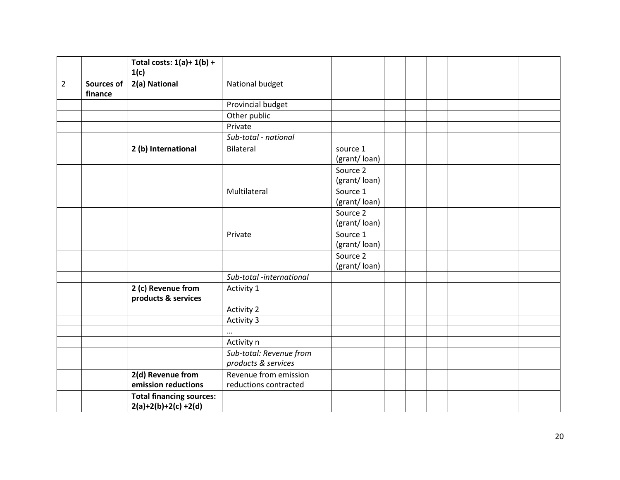|                |                              | Total costs: $1(a)+1(b) +$<br>1(c)                       |                                                |                          |  |  |  |  |
|----------------|------------------------------|----------------------------------------------------------|------------------------------------------------|--------------------------|--|--|--|--|
| $\overline{2}$ | <b>Sources of</b><br>finance | 2(a) National                                            | National budget                                |                          |  |  |  |  |
|                |                              |                                                          | Provincial budget                              |                          |  |  |  |  |
|                |                              |                                                          | Other public                                   |                          |  |  |  |  |
|                |                              |                                                          | Private                                        |                          |  |  |  |  |
|                |                              |                                                          | Sub-total - national                           |                          |  |  |  |  |
|                |                              | 2 (b) International                                      | Bilateral                                      | source 1<br>(grant/loan) |  |  |  |  |
|                |                              |                                                          |                                                | Source 2<br>(grant/loan) |  |  |  |  |
|                |                              |                                                          | Multilateral                                   | Source 1<br>(grant/loan) |  |  |  |  |
|                |                              |                                                          |                                                | Source 2<br>(grant/loan) |  |  |  |  |
|                |                              |                                                          | Private                                        | Source 1<br>(grant/loan) |  |  |  |  |
|                |                              |                                                          |                                                | Source 2<br>(grant/loan) |  |  |  |  |
|                |                              |                                                          | Sub-total -international                       |                          |  |  |  |  |
|                |                              | 2 (c) Revenue from<br>products & services                | Activity 1                                     |                          |  |  |  |  |
|                |                              |                                                          | <b>Activity 2</b>                              |                          |  |  |  |  |
|                |                              |                                                          | Activity 3                                     |                          |  |  |  |  |
|                |                              |                                                          | $\cdots$                                       |                          |  |  |  |  |
|                |                              |                                                          | Activity n                                     |                          |  |  |  |  |
|                |                              |                                                          | Sub-total: Revenue from<br>products & services |                          |  |  |  |  |
|                |                              | 2(d) Revenue from<br>emission reductions                 | Revenue from emission<br>reductions contracted |                          |  |  |  |  |
|                |                              | <b>Total financing sources:</b><br>$2(a)+2(b)+2(c)+2(d)$ |                                                |                          |  |  |  |  |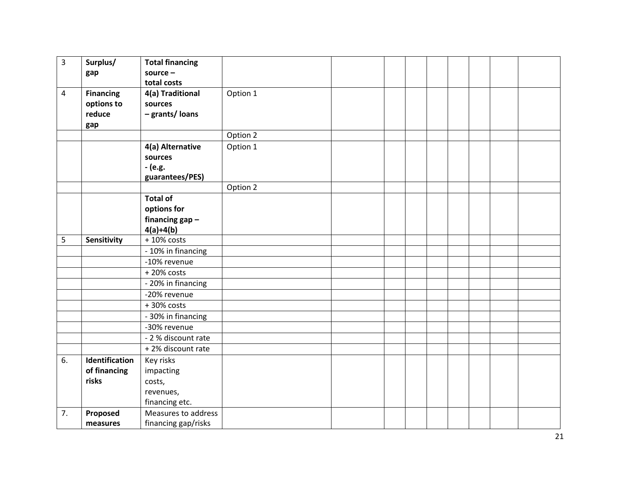| $\overline{3}$ | Surplus/         | <b>Total financing</b> |          |  |  |  |  |
|----------------|------------------|------------------------|----------|--|--|--|--|
|                | gap              | source $-$             |          |  |  |  |  |
|                |                  | total costs            |          |  |  |  |  |
| $\overline{4}$ | <b>Financing</b> | 4(a) Traditional       | Option 1 |  |  |  |  |
|                | options to       | sources                |          |  |  |  |  |
|                | reduce           | - grants/ loans        |          |  |  |  |  |
|                | gap              |                        |          |  |  |  |  |
|                |                  |                        | Option 2 |  |  |  |  |
|                |                  | 4(a) Alternative       | Option 1 |  |  |  |  |
|                |                  | sources                |          |  |  |  |  |
|                |                  | - (e.g.                |          |  |  |  |  |
|                |                  | guarantees/PES)        |          |  |  |  |  |
|                |                  |                        | Option 2 |  |  |  |  |
|                |                  | <b>Total of</b>        |          |  |  |  |  |
|                |                  | options for            |          |  |  |  |  |
|                |                  | financing $gap -$      |          |  |  |  |  |
|                |                  | $4(a)+4(b)$            |          |  |  |  |  |
| 5              | Sensitivity      | $+10\%$ costs          |          |  |  |  |  |
|                |                  | - 10% in financing     |          |  |  |  |  |
|                |                  | -10% revenue           |          |  |  |  |  |
|                |                  | $+20\%$ costs          |          |  |  |  |  |
|                |                  | - 20% in financing     |          |  |  |  |  |
|                |                  | -20% revenue           |          |  |  |  |  |
|                |                  | +30% costs             |          |  |  |  |  |
|                |                  | - 30% in financing     |          |  |  |  |  |
|                |                  | -30% revenue           |          |  |  |  |  |
|                |                  | - 2 % discount rate    |          |  |  |  |  |
|                |                  | +2% discount rate      |          |  |  |  |  |
| 6.             | Identification   | Key risks              |          |  |  |  |  |
|                | of financing     | impacting              |          |  |  |  |  |
|                | risks            | costs,                 |          |  |  |  |  |
|                |                  | revenues,              |          |  |  |  |  |
|                |                  | financing etc.         |          |  |  |  |  |
| 7.             | Proposed         | Measures to address    |          |  |  |  |  |
|                | measures         | financing gap/risks    |          |  |  |  |  |